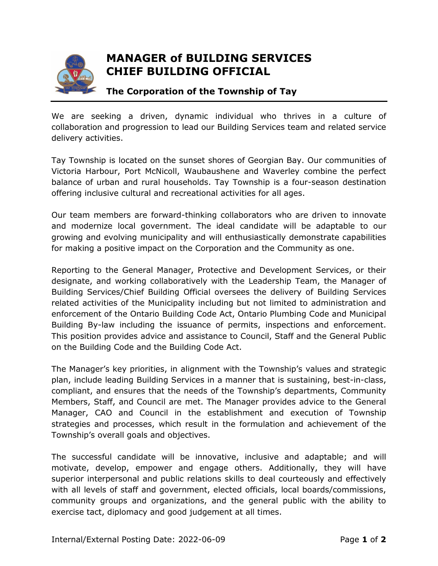

## **MANAGER of BUILDING SERVICES CHIEF BUILDING OFFICIAL**

## **The Corporation of the Township of Tay**

We are seeking a driven, dynamic individual who thrives in a culture of collaboration and progression to lead our Building Services team and related service delivery activities.

Tay Township is located on the sunset shores of Georgian Bay. Our communities of Victoria Harbour, Port McNicoll, Waubaushene and Waverley combine the perfect balance of urban and rural households. Tay Township is a four-season destination offering inclusive cultural and recreational activities for all ages.

Our team members are forward-thinking collaborators who are driven to innovate and modernize local government. The ideal candidate will be adaptable to our growing and evolving municipality and will enthusiastically demonstrate capabilities for making a positive impact on the Corporation and the Community as one.

Reporting to the General Manager, Protective and Development Services, or their designate, and working collaboratively with the Leadership Team, the Manager of Building Services/Chief Building Official oversees the delivery of Building Services related activities of the Municipality including but not limited to administration and enforcement of the Ontario Building Code Act, Ontario Plumbing Code and Municipal Building By-law including the issuance of permits, inspections and enforcement. This position provides advice and assistance to Council, Staff and the General Public on the Building Code and the Building Code Act.

The Manager's key priorities, in alignment with the Township's values and strategic plan, include leading Building Services in a manner that is sustaining, best-in-class, compliant, and ensures that the needs of the Township's departments, Community Members, Staff, and Council are met. The Manager provides advice to the General Manager, CAO and Council in the establishment and execution of Township strategies and processes, which result in the formulation and achievement of the Township's overall goals and objectives.

The successful candidate will be innovative, inclusive and adaptable; and will motivate, develop, empower and engage others. Additionally, they will have superior interpersonal and public relations skills to deal courteously and effectively with all levels of staff and government, elected officials, local boards/commissions, community groups and organizations, and the general public with the ability to exercise tact, diplomacy and good judgement at all times.